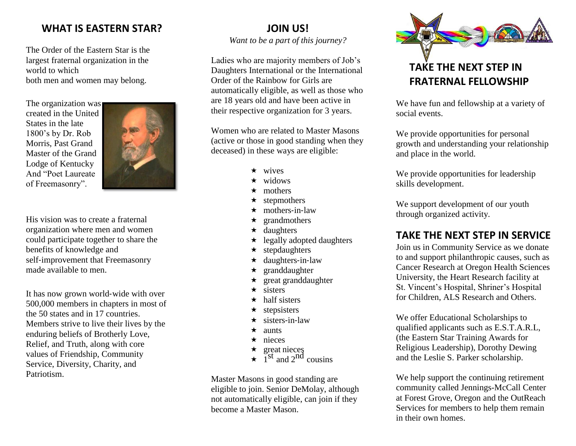## **WHAT IS EASTERN STAR?**

The Order of the Eastern Star is the largest fraternal organization in the world to which both men and women may belong.

The organization was created in the United States in the late 1800's by Dr. Rob Morris, Past Grand Master of the Grand Lodge of Kentucky And "Poet Laureate of Freemasonry".



His vision was to create a fraternal organization where men and women could participate together to share the benefits of knowledge and self-improvement that Freemasonry made available to men.

It has now grown world‐wide with over 500,000 members in chapters in most of the 50 states and in 17 countries. Members strive to live their lives by the enduring beliefs of Brotherly Love, Relief, and Truth, along with core values of Friendship, Community Service, Diversity, Charity, and Patriotism.

## **JOIN US!**

*Want to be a part of this journey?*

Ladies who are majority members of Job's Daughters International or the International Order of the Rainbow for Girls are automatically eligible, as well as those who are 18 years old and have been active in their respective organization for 3 years.

Women who are related to Master Masons (active or those in good standing when they deceased) in these ways are eligible:

- $\star$  wives
- $\star$  widows
- mothers
- $\star$  stepmothers
- $\star$  mothers-in-law
- $\star$  grandmothers
- $\star$  daughters
- $\star$  legally adopted daughters
- $\star$  stepdaughters
- $\star$  daughters-in-law
- $\star$  granddaughter
- $\star$  great granddaughter
- $\star$  sisters
- $\star$  half sisters
- stepsisters
- $\star$  sisters-in-law
- $\star$  aunts
- $\star$  nieces
- $\star$  great nieces
- $\star$  1<sup>st</sup> and 2<sup>nd</sup> cousins

Master Masons in good standing are eligible to join. Senior DeMolay, although not automatically eligible, can join if they become a Master Mason.



We have fun and fellowship at a variety of social events.

We provide opportunities for personal growth and understanding your relationship and place in the world.

We provide opportunities for leadership skills development.

We support development of our youth through organized activity.

## **TAKE THE NEXT STEP IN SERVICE**

Join us in Community Service as we donate to and support philanthropic causes, such as Cancer Research at Oregon Health Sciences University, the Heart Research facility at St. Vincent's Hospital, Shriner's Hospital for Children, ALS Research and Others.

We offer Educational Scholarships to qualified applicants such as E.S.T.A.R.L, (the Eastern Star Training Awards for Religious Leadership), Dorothy Dewing and the Leslie S. Parker scholarship.

We help support the continuing retirement community called Jennings-McCall Center at Forest Grove, Oregon and the OutReach Services for members to help them remain in their own homes.